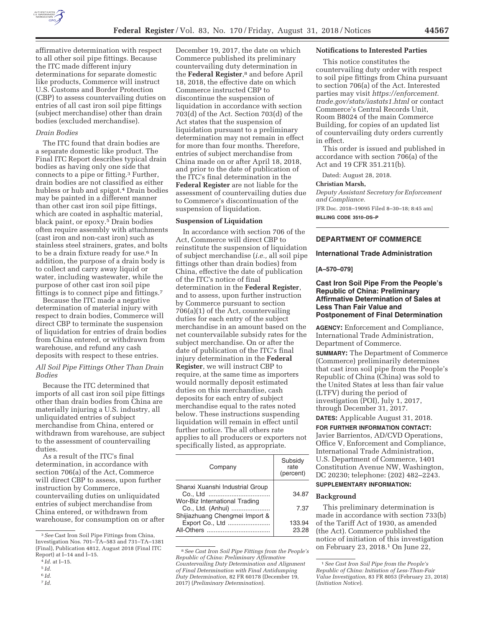

affirmative determination with respect to all other soil pipe fittings. Because the ITC made different injury determinations for separate domestic like products, Commerce will instruct U.S. Customs and Border Protection (CBP) to assess countervailing duties on entries of all cast iron soil pipe fittings (subject merchandise) other than drain bodies (excluded merchandise).

#### *Drain Bodies*

The ITC found that drain bodies are a separate domestic like product. The Final ITC Report describes typical drain bodies as having only one side that connects to a pipe or fitting.3 Further, drain bodies are not classified as either hubless or hub and spigot.4 Drain bodies may be painted in a different manner than other cast iron soil pipe fittings, which are coated in asphaltic material, black paint, or epoxy.<sup>5</sup> Drain bodies often require assembly with attachments (cast iron and non-cast iron) such as stainless steel strainers, grates, and bolts to be a drain fixture ready for use.6 In addition, the purpose of a drain body is to collect and carry away liquid or water, including wastewater, while the purpose of other cast iron soil pipe fittings is to connect pipe and fittings.7

Because the ITC made a negative determination of material injury with respect to drain bodies, Commerce will direct CBP to terminate the suspension of liquidation for entries of drain bodies from China entered, or withdrawn from warehouse, and refund any cash deposits with respect to these entries.

### *All Soil Pipe Fittings Other Than Drain Bodies*

Because the ITC determined that imports of all cast iron soil pipe fittings other than drain bodies from China are materially injuring a U.S. industry, all unliquidated entries of subject merchandise from China, entered or withdrawn from warehouse, are subject to the assessment of countervailing duties.

As a result of the ITC's final determination, in accordance with section 706(a) of the Act, Commerce will direct CBP to assess, upon further instruction by Commerce, countervailing duties on unliquidated entries of subject merchandise from China entered, or withdrawn from warehouse, for consumption on or after

December 19, 2017, the date on which Commerce published its preliminary countervailing duty determination in the **Federal Register**,8 and before April 18, 2018, the effective date on which Commerce instructed CBP to discontinue the suspension of liquidation in accordance with section 703(d) of the Act. Section 703(d) of the Act states that the suspension of liquidation pursuant to a preliminary determination may not remain in effect for more than four months. Therefore, entries of subject merchandise from China made on or after April 18, 2018, and prior to the date of publication of the ITC's final determination in the **Federal Register** are not liable for the assessment of countervailing duties due to Commerce's discontinuation of the suspension of liquidation.

### **Suspension of Liquidation**

In accordance with section 706 of the Act, Commerce will direct CBP to reinstitute the suspension of liquidation of subject merchandise (*i.e.,* all soil pipe fittings other than drain bodies) from China, effective the date of publication of the ITC's notice of final determination in the **Federal Register**, and to assess, upon further instruction by Commerce pursuant to section 706(a)(1) of the Act, countervailing duties for each entry of the subject merchandise in an amount based on the net countervailable subsidy rates for the subject merchandise. On or after the date of publication of the ITC's final injury determination in the **Federal Register**, we will instruct CBP to require, at the same time as importers would normally deposit estimated duties on this merchandise, cash deposits for each entry of subject merchandise equal to the rates noted below. These instructions suspending liquidation will remain in effect until further notice. The all others rate applies to all producers or exporters not specifically listed, as appropriate.

| Company                                                                               | Subsidy<br>rate<br>(percent) |
|---------------------------------------------------------------------------------------|------------------------------|
| Shanxi Xuanshi Industrial Group<br>Wor-Biz International Trading<br>Co., Ltd. (Anhui) | 34.87<br>7.37                |
| Shijiazhuang Chengmei Import &<br>Export Co., Ltd                                     | 133.94<br>23.28              |

<sup>8</sup>*See Cast Iron Soil Pipe Fittings from the People's Republic of China: Preliminary Affirmative Countervailing Duty Determination and Alignment of Final Determination with Final Antidumping Duty Determination,* 82 FR 60178 (December 19, 2017) (*Preliminary Determination*).

#### **Notifications to Interested Parties**

This notice constitutes the countervailing duty order with respect to soil pipe fittings from China pursuant to section 706(a) of the Act. Interested parties may visit *https://enforcement. trade.gov/stats/iastats1.html* or contact Commerce's Central Records Unit, Room B8024 of the main Commerce Building, for copies of an updated list of countervailing duty orders currently in effect.

This order is issued and published in accordance with section 706(a) of the Act and 19 CFR 351.211(b).

Dated: August 28, 2018.

## **Christian Marsh,**

*Deputy Assistant Secretary for Enforcement and Compliance.* 

[FR Doc. 2018–19095 Filed 8–30–18; 8:45 am] **BILLING CODE 3510–DS–P** 

# **DEPARTMENT OF COMMERCE**

#### **International Trade Administration**

### **[A–570–079]**

# **Cast Iron Soil Pipe From the People's Republic of China: Preliminary Affirmative Determination of Sales at Less Than Fair Value and Postponement of Final Determination**

**AGENCY:** Enforcement and Compliance, International Trade Administration, Department of Commerce.

**SUMMARY:** The Department of Commerce (Commerce) preliminarily determines that cast iron soil pipe from the People's Republic of China (China) was sold to the United States at less than fair value (LTFV) during the period of investigation (POI), July 1, 2017, through December 31, 2017.

# **DATES:** Applicable August 31, 2018.

**FOR FURTHER INFORMATION CONTACT:**  Javier Barrientos, AD/CVD Operations, Office V, Enforcement and Compliance, International Trade Administration, U.S. Department of Commerce, 1401 Constitution Avenue NW, Washington, DC 20230; telephone: (202) 482–2243.

# **SUPPLEMENTARY INFORMATION:**

#### **Background**

This preliminary determination is made in accordance with section 733(b) of the Tariff Act of 1930, as amended (the Act). Commerce published the notice of initiation of this investigation on February 23, 2018.1 On June 22,

<sup>3</sup>*See* Cast Iron Soil Pipe Fittings from China, Investigation Nos. 701–TA–583 and 731–TA–1381 (Final), Publication 4812, August 2018 (Final ITC Report) at I–14 and I–15.

<sup>4</sup> *Id.* at I–15.

<sup>5</sup> *Id.* 

<sup>6</sup> *Id.* 

<sup>7</sup> *Id.* 

<sup>1</sup>*See Cast Iron Soil Pipe from the People's Republic of China: Initiation of Less-Than-Fair Value Investigation,* 83 FR 8053 (February 23, 2018) (*Initiation Notice*).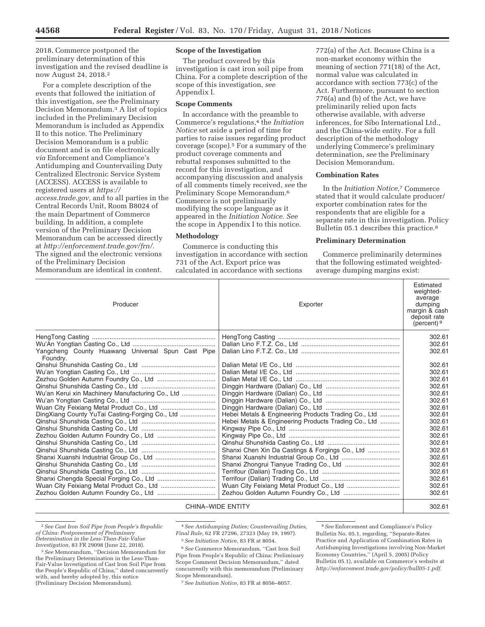2018, Commerce postponed the preliminary determination of this investigation and the revised deadline is now August 24, 2018.2

For a complete description of the events that followed the initiation of this investigation, *see* the Preliminary Decision Memorandum.3 A list of topics included in the Preliminary Decision Memorandum is included as Appendix II to this notice. The Preliminary Decision Memorandum is a public document and is on file electronically *via* Enforcement and Compliance's Antidumping and Countervailing Duty Centralized Electronic Service System (ACCESS). ACCESS is available to registered users at *https:// access.trade.gov,* and to all parties in the Central Records Unit, Room B8024 of the main Department of Commerce building. In addition, a complete version of the Preliminary Decision Memorandum can be accessed directly at *http://enforcement.trade.gov/frn/.*  The signed and the electronic versions of the Preliminary Decision Memorandum are identical in content.

# **Scope of the Investigation**

The product covered by this investigation is cast iron soil pipe from China. For a complete description of the scope of this investigation, *see*  Appendix I.

## **Scope Comments**

In accordance with the preamble to Commerce's regulations,4 the *Initiation Notice* set aside a period of time for parties to raise issues regarding product coverage (scope).5 For a summary of the product coverage comments and rebuttal responses submitted to the record for this investigation, and accompanying discussion and analysis of all comments timely received, *see* the Preliminary Scope Memorandum.6 Commerce is not preliminarily modifying the scope language as it appeared in the *Initiation Notice. See*  the scope in Appendix I to this notice.

#### **Methodology**

Commerce is conducting this investigation in accordance with section 731 of the Act. Export price was calculated in accordance with sections

772(a) of the Act. Because China is a non-market economy within the meaning of section 771(18) of the Act, normal value was calculated in accordance with section 773(c) of the Act. Furthermore, pursuant to section 776(a) and (b) of the Act, we have preliminarily relied upon facts otherwise available, with adverse inferences, for Sibo International Ltd., and the China-wide entity. For a full description of the methodology underlying Commerce's preliminary determination, *see* the Preliminary Decision Memorandum.

#### **Combination Rates**

In the *Initiation Notice,*7 Commerce stated that it would calculate producer/ exporter combination rates for the respondents that are eligible for a separate rate in this investigation. Policy Bulletin 05.1 describes this practice.8

### **Preliminary Determination**

Commerce preliminarily determines that the following estimated weightedaverage dumping margins exist:

| Producer                                                      | Exporter                                             | Estimated<br>weighted-<br>average<br>dumping<br>margin & cash<br>deposit rate<br>(percent) $9$ |
|---------------------------------------------------------------|------------------------------------------------------|------------------------------------------------------------------------------------------------|
|                                                               |                                                      | 302.61                                                                                         |
|                                                               |                                                      | 302.61                                                                                         |
| Yangcheng County Huawang Universal Spun Cast Pipe<br>Foundry. |                                                      | 302.61                                                                                         |
|                                                               |                                                      | 302.61                                                                                         |
|                                                               |                                                      | 302.61                                                                                         |
|                                                               |                                                      | 302.61                                                                                         |
|                                                               |                                                      | 302.61                                                                                         |
| Wu'an Kerui xin Machinery Manufacturing Co., Ltd              |                                                      | 302.61                                                                                         |
|                                                               |                                                      | 302.61                                                                                         |
|                                                               |                                                      | 302.61                                                                                         |
| DingXiang County YuTai Casting-Forging Co., Ltd               | Hebei Metals & Engineering Products Trading Co., Ltd | 302.61                                                                                         |
|                                                               | Hebei Metals & Engineering Products Trading Co., Ltd | 302.61                                                                                         |
|                                                               |                                                      | 302.61                                                                                         |
|                                                               |                                                      | 302.61                                                                                         |
|                                                               |                                                      | 302.61                                                                                         |
|                                                               | Shanxi Chen Xin Da Castings & Forgings Co., Ltd      | 302.61                                                                                         |
|                                                               |                                                      | 302.61                                                                                         |
|                                                               |                                                      | 302.61                                                                                         |
|                                                               |                                                      | 302.61                                                                                         |
|                                                               |                                                      | 302.61                                                                                         |
| Wuan City Feixiang Metal Product Co., Ltd                     |                                                      | 302.61                                                                                         |
|                                                               |                                                      | 302.61                                                                                         |
| <b>CHINA-WIDE ENTITY</b>                                      |                                                      | 302.61                                                                                         |

2*See Cast Iron Soil Pipe from People's Republic of China: Postponement of Preliminary Determination in the Less-Than-Fair-Value* 

<sup>3</sup> See Memorandum, "Decision Memorandum for the Preliminary Determination in the Less-Than-Fair-Value Investigation of Cast Iron Soil Pipe from the People's Republic of China,'' dated concurrently with, and hereby adopted by, this notice (Preliminary Decision Memorandum).

4*See Antidumping Duties; Countervailing Duties, Final Rule,* 62 FR 27296, 27323 (May 19, 1997).

5*See Initiation Notic*e, 83 FR at 8054.

6*See* Commerce Memorandum, ''Cast Iron Soil Pipe from People's Republic of China: Preliminary Scope Comment Decision Memorandum,'' dated concurrently with this memorandum (Preliminary Scope Memorandum).

7*See Initiation Notice,* 83 FR at 8056–8057.

8*See* Enforcement and Compliance's Policy Bulletin No. 05.1, regarding, ''Separate-Rates Practice and Application of Combination Rates in Antidumping Investigations involving Non-Market Economy Countries,'' (April 5, 2005) (Policy Bulletin 05.1), available on Commerce's website at *http://enforcement.trade.gov/policy/bull05-1.pdf.*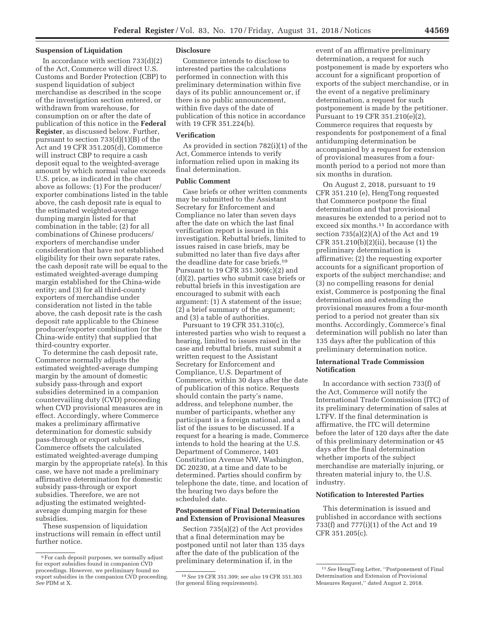### **Suspension of Liquidation**

In accordance with section  $733(d)(2)$ of the Act, Commerce will direct U.S. Customs and Border Protection (CBP) to suspend liquidation of subject merchandise as described in the scope of the investigation section entered, or withdrawn from warehouse, for consumption on or after the date of publication of this notice in the **Federal Register**, as discussed below. Further, pursuant to section 733(d)(1)(B) of the Act and 19 CFR 351.205(d), Commerce will instruct CBP to require a cash deposit equal to the weighted-average amount by which normal value exceeds U.S. price, as indicated in the chart above as follows: (1) For the producer/ exporter combinations listed in the table above, the cash deposit rate is equal to the estimated weighted-average dumping margin listed for that combination in the table; (2) for all combinations of Chinese producers/ exporters of merchandise under consideration that have not established eligibility for their own separate rates, the cash deposit rate will be equal to the estimated weighted-average dumping margin established for the China-wide entity; and (3) for all third-county exporters of merchandise under consideration not listed in the table above, the cash deposit rate is the cash deposit rate applicable to the Chinese producer/exporter combination (or the China-wide entity) that supplied that third-country exporter.

To determine the cash deposit rate, Commerce normally adjusts the estimated weighted-average dumping margin by the amount of domestic subsidy pass-through and export subsidies determined in a companion countervailing duty (CVD) proceeding when CVD provisional measures are in effect. Accordingly, where Commerce makes a preliminary affirmative determination for domestic subsidy pass-through or export subsidies, Commerce offsets the calculated estimated weighted-average dumping margin by the appropriate rate(s). In this case, we have not made a preliminary affirmative determination for domestic subsidy pass-through or export subsidies. Therefore, we are not adjusting the estimated weightedaverage dumping margin for these subsidies.

These suspension of liquidation instructions will remain in effect until further notice.

#### **Disclosure**

Commerce intends to disclose to interested parties the calculations performed in connection with this preliminary determination within five days of its public announcement or, if there is no public announcement, within five days of the date of publication of this notice in accordance with 19 CFR 351.224(b).

## **Verification**

As provided in section 782(i)(1) of the Act, Commerce intends to verify information relied upon in making its final determination.

### **Public Comment**

Case briefs or other written comments may be submitted to the Assistant Secretary for Enforcement and Compliance no later than seven days after the date on which the last final verification report is issued in this investigation. Rebuttal briefs, limited to issues raised in case briefs, may be submitted no later than five days after the deadline date for case briefs.10 Pursuant to 19 CFR 351.309(c)(2) and (d)(2), parties who submit case briefs or rebuttal briefs in this investigation are encouraged to submit with each argument: (1) A statement of the issue; (2) a brief summary of the argument; and (3) a table of authorities.

Pursuant to 19 CFR 351.310(c), interested parties who wish to request a hearing, limited to issues raised in the case and rebuttal briefs, must submit a written request to the Assistant Secretary for Enforcement and Compliance, U.S. Department of Commerce, within 30 days after the date of publication of this notice. Requests should contain the party's name, address, and telephone number, the number of participants, whether any participant is a foreign national, and a list of the issues to be discussed. If a request for a hearing is made, Commerce intends to hold the hearing at the U.S. Department of Commerce, 1401 Constitution Avenue NW, Washington, DC 20230, at a time and date to be determined. Parties should confirm by telephone the date, time, and location of the hearing two days before the scheduled date.

# **Postponement of Final Determination and Extension of Provisional Measures**

Section 735(a)(2) of the Act provides that a final determination may be postponed until not later than 135 days after the date of the publication of the preliminary determination if, in the

event of an affirmative preliminary determination, a request for such postponement is made by exporters who account for a significant proportion of exports of the subject merchandise, or in the event of a negative preliminary determination, a request for such postponement is made by the petitioner. Pursuant to 19 CFR 351.210(e)(2), Commerce requires that requests by respondents for postponement of a final antidumping determination be accompanied by a request for extension of provisional measures from a fourmonth period to a period not more than six months in duration.

On August 2, 2018, pursuant to 19 CFR 351.210 (e), HengTong requested that Commerce postpone the final determination and that provisional measures be extended to a period not to exceed six months.11 In accordance with section 735(a)(2)(A) of the Act and 19 CFR 351.210(b)(2)(ii), because (1) the preliminary determination is affirmative; (2) the requesting exporter accounts for a significant proportion of exports of the subject merchandise; and (3) no compelling reasons for denial exist, Commerce is postponing the final determination and extending the provisional measures from a four-month period to a period not greater than six months. Accordingly, Commerce's final determination will publish no later than 135 days after the publication of this preliminary determination notice.

## **International Trade Commission Notification**

In accordance with section 733(f) of the Act, Commerce will notify the International Trade Commission (ITC) of its preliminary determination of sales at LTFV. If the final determination is affirmative, the ITC will determine before the later of 120 days after the date of this preliminary determination or 45 days after the final determination whether imports of the subject merchandise are materially injuring, or threaten material injury to, the U.S. industry.

# **Notification to Interested Parties**

This determination is issued and published in accordance with sections 733(f) and 777(i)(1) of the Act and 19 CFR 351.205(c).

<sup>9</sup>For cash deposit purposes, we normally adjust for export subsidies found in companion CVD proceedings. However, we preliminary found no export subsidies in the companion CVD proceeding. *See* PDM at X.

<sup>10</sup>*See* 19 CFR 351.309; *see also* 19 CFR 351.303 (for general filing requirements).

<sup>11</sup>*See* HengTong Letter, ''Postponement of Final Determination and Extension of Provisional Measures Request,'' dated August 2, 2018.